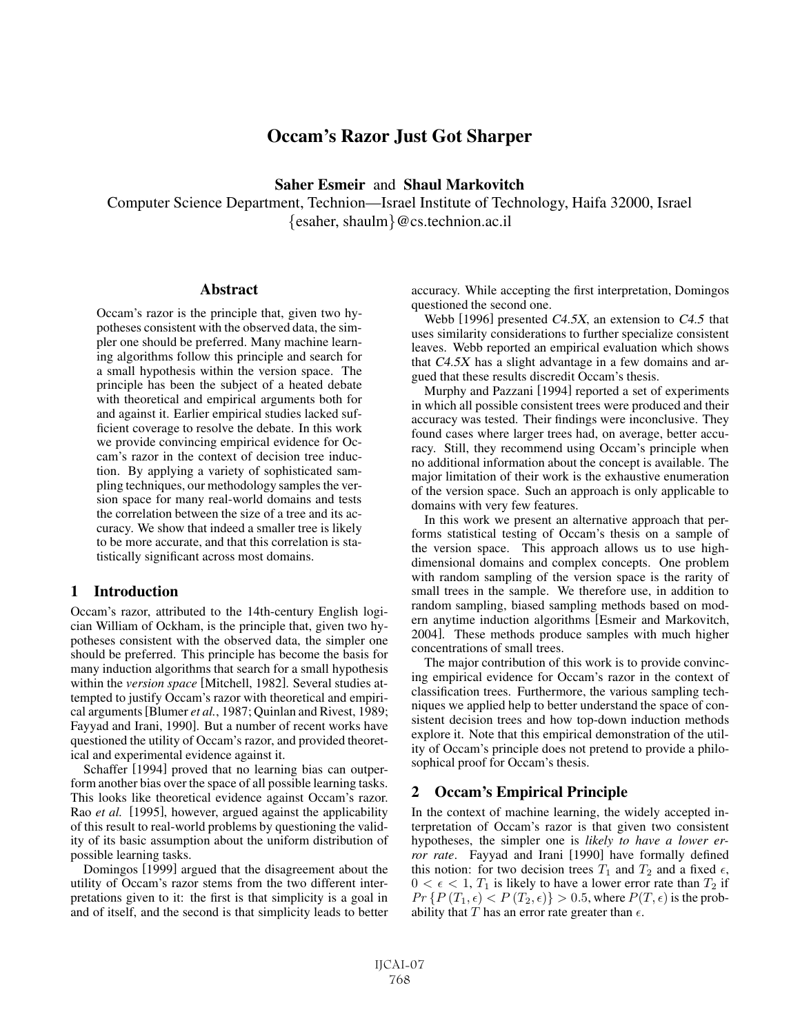# Occam's Razor Just Got Sharper

Saher Esmeir and Shaul Markovitch

Computer Science Department, Technion—Israel Institute of Technology, Haifa 32000, Israel {esaher, shaulm}@cs.technion.ac.il

#### **Abstract**

Occam's razor is the principle that, given two hypotheses consistent with the observed data, the simpler one should be preferred. Many machine learning algorithms follow this principle and search for a small hypothesis within the version space. The principle has been the subject of a heated debate with theoretical and empirical arguments both for and against it. Earlier empirical studies lacked sufficient coverage to resolve the debate. In this work we provide convincing empirical evidence for Occam's razor in the context of decision tree induction. By applying a variety of sophisticated sampling techniques, our methodology samples the version space for many real-world domains and tests the correlation between the size of a tree and its accuracy. We show that indeed a smaller tree is likely to be more accurate, and that this correlation is statistically significant across most domains.

### 1 Introduction

Occam's razor, attributed to the 14th-century English logician William of Ockham, is the principle that, given two hypotheses consistent with the observed data, the simpler one should be preferred. This principle has become the basis for many induction algorithms that search for a small hypothesis within the *version space* [Mitchell, 1982]. Several studies attempted to justify Occam's razor with theoretical and empirical arguments[Blumer *et al.*, 1987; Quinlan and Rivest, 1989; Fayyad and Irani, 1990]. But a number of recent works have questioned the utility of Occam's razor, and provided theoretical and experimental evidence against it.

Schaffer [1994] proved that no learning bias can outperform another bias over the space of all possible learning tasks. This looks like theoretical evidence against Occam's razor. Rao *et al.* [1995], however, argued against the applicability of this result to real-world problems by questioning the validity of its basic assumption about the uniform distribution of possible learning tasks.

Domingos [1999] argued that the disagreement about the utility of Occam's razor stems from the two different interpretations given to it: the first is that simplicity is a goal in and of itself, and the second is that simplicity leads to better accuracy. While accepting the first interpretation, Domingos questioned the second one.

Webb [1996] presented C4.5X, an extension to C4.5 that uses similarity considerations to further specialize consistent leaves. Webb reported an empirical evaluation which shows that C4.5X has a slight advantage in a few domains and argued that these results discredit Occam's thesis.

Murphy and Pazzani [1994] reported a set of experiments in which all possible consistent trees were produced and their accuracy was tested. Their findings were inconclusive. They found cases where larger trees had, on average, better accuracy. Still, they recommend using Occam's principle when no additional information about the concept is available. The major limitation of their work is the exhaustive enumeration of the version space. Such an approach is only applicable to domains with very few features.

In this work we present an alternative approach that performs statistical testing of Occam's thesis on a sample of the version space. This approach allows us to use highdimensional domains and complex concepts. One problem with random sampling of the version space is the rarity of small trees in the sample. We therefore use, in addition to random sampling, biased sampling methods based on modern anytime induction algorithms [Esmeir and Markovitch, 2004]. These methods produce samples with much higher concentrations of small trees.

The major contribution of this work is to provide convincing empirical evidence for Occam's razor in the context of classification trees. Furthermore, the various sampling techniques we applied help to better understand the space of consistent decision trees and how top-down induction methods explore it. Note that this empirical demonstration of the utility of Occam's principle does not pretend to provide a philosophical proof for Occam's thesis.

### 2 Occam's Empirical Principle

In the context of machine learning, the widely accepted interpretation of Occam's razor is that given two consistent hypotheses, the simpler one is *likely to have a lower error rate*. Fayyad and Irani [1990] have formally defined this notion: for two decision trees  $T_1$  and  $T_2$  and a fixed  $\epsilon$ ,  $0 < \epsilon < 1$ ,  $T_1$  is likely to have a lower error rate than  $T_2$  if  $Pr\{P(T_1, \epsilon) < P(T_2, \epsilon)\} > 0.5$ , where  $P(T, \epsilon)$  is the probability that T has an error rate greater than  $\epsilon$ .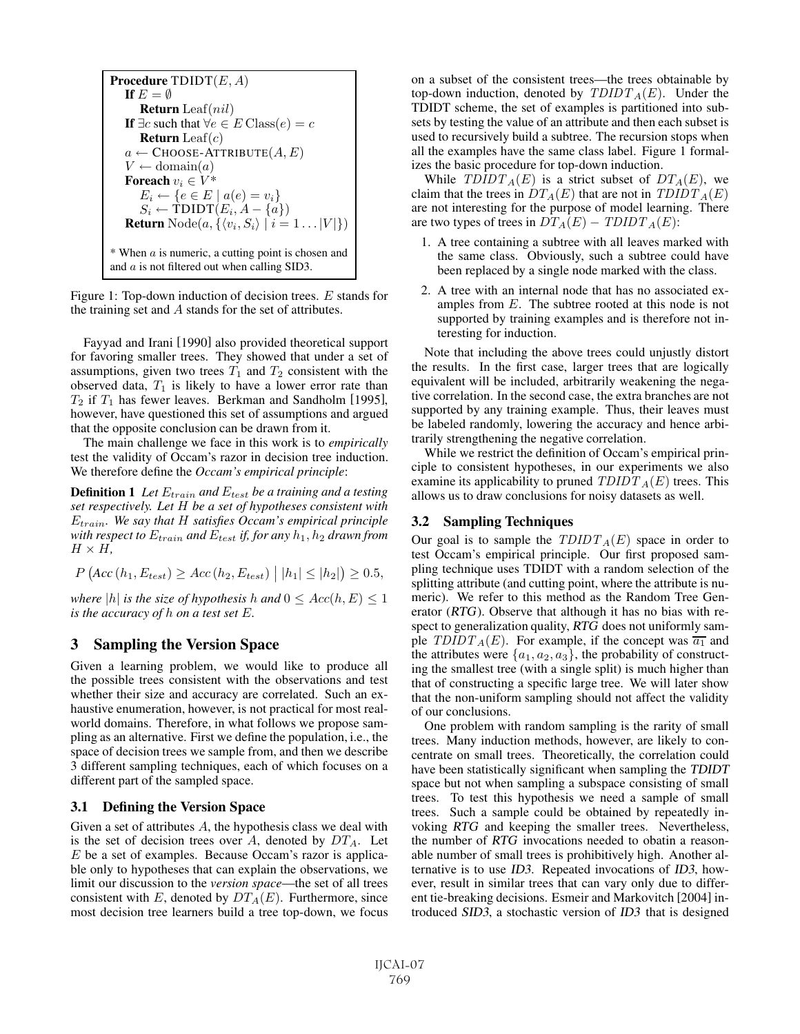**Procedure TDIDT** $(E, A)$ If  $E = \emptyset$ **Return** Leaf(*nil*) **If**  $∃c$  such that  $∀e ∈ E$  Class $(e) = c$ **Return** Leaf $(c)$  $a \leftarrow$  CHOOSE-ATTRIBUTE $(A, E)$  $V \leftarrow \text{domain}(a)$ Foreach  $v_i \in V^*$  $E_i \leftarrow \{e \in E \mid a(e) = v_i\}$  $S_i \leftarrow \text{TDIDT}(E_i, A - \{a\})$ **Return** Node $(a, \{ \langle v_i, S_i \rangle \mid i = 1 \dots |V| \})$  $*$  When  $a$  is numeric, a cutting point is chosen and and a is not filtered out when calling SID3.

Figure 1: Top-down induction of decision trees. E stands for the training set and A stands for the set of attributes.

Fayyad and Irani [1990] also provided theoretical support for favoring smaller trees. They showed that under a set of assumptions, given two trees  $T_1$  and  $T_2$  consistent with the observed data,  $T_1$  is likely to have a lower error rate than  $T_2$  if  $T_1$  has fewer leaves. Berkman and Sandholm [1995], however, have questioned this set of assumptions and argued that the opposite conclusion can be drawn from it.

The main challenge we face in this work is to *empirically* test the validity of Occam's razor in decision tree induction. We therefore define the *Occam's empirical principle*:

**Definition 1** Let  $E_{train}$  and  $E_{test}$  be a training and a testing *set respectively. Let* H *be a set of hypotheses consistent with* Etrain*. We say that* H *satisfies Occam's empirical principle with respect to*  $E_{train}$  *and*  $E_{test}$  *if, for any*  $h_1$ ,  $h_2$  *drawn from*  $H \times H$ ,

 $P (Acc (h_1, E_{test}) \geq Acc (h_2, E_{test}) | |h_1| \leq |h_2|) \geq 0.5,$ 

*where* |h| *is the size of hypothesis* h and  $0 \le Acc(h, E) \le 1$ *is the accuracy of* h *on a test set* E*.*

## 3 Sampling the Version Space

Given a learning problem, we would like to produce all the possible trees consistent with the observations and test whether their size and accuracy are correlated. Such an exhaustive enumeration, however, is not practical for most realworld domains. Therefore, in what follows we propose sampling as an alternative. First we define the population, i.e., the space of decision trees we sample from, and then we describe 3 different sampling techniques, each of which focuses on a different part of the sampled space.

### 3.1 Defining the Version Space

Given a set of attributes A, the hypothesis class we deal with is the set of decision trees over A, denoted by  $DT_A$ . Let  $E$  be a set of examples. Because Occam's razor is applicable only to hypotheses that can explain the observations, we limit our discussion to the *version space*—the set of all trees consistent with E, denoted by  $DT_A(E)$ . Furthermore, since most decision tree learners build a tree top-down, we focus on a subset of the consistent trees—the trees obtainable by top-down induction, denoted by  $TDIDT_A(E)$ . Under the TDIDT scheme, the set of examples is partitioned into subsets by testing the value of an attribute and then each subset is used to recursively build a subtree. The recursion stops when all the examples have the same class label. Figure 1 formalizes the basic procedure for top-down induction.

While  $TDIDT_A(E)$  is a strict subset of  $DT_A(E)$ , we claim that the trees in  $DT_A(E)$  that are not in  $TDIDT_A(E)$ are not interesting for the purpose of model learning. There are two types of trees in  $DT_A(E) - TDDT_A(E)$ :

- 1. A tree containing a subtree with all leaves marked with the same class. Obviously, such a subtree could have been replaced by a single node marked with the class.
- 2. A tree with an internal node that has no associated examples from E. The subtree rooted at this node is not supported by training examples and is therefore not interesting for induction.

Note that including the above trees could unjustly distort the results. In the first case, larger trees that are logically equivalent will be included, arbitrarily weakening the negative correlation. In the second case, the extra branches are not supported by any training example. Thus, their leaves must be labeled randomly, lowering the accuracy and hence arbitrarily strengthening the negative correlation.

While we restrict the definition of Occam's empirical principle to consistent hypotheses, in our experiments we also examine its applicability to pruned  $TDIDT_A(E)$  trees. This allows us to draw conclusions for noisy datasets as well.

### 3.2 Sampling Techniques

Our goal is to sample the  $TDIDT_A(E)$  space in order to test Occam's empirical principle. Our first proposed sampling technique uses TDIDT with a random selection of the splitting attribute (and cutting point, where the attribute is numeric). We refer to this method as the Random Tree Generator (RTG). Observe that although it has no bias with respect to generalization quality, RTG does not uniformly sample  $TDIDT_A(E)$ . For example, if the concept was  $\overline{a_1}$  and the attributes were  $\{a_1, a_2, a_3\}$ , the probability of constructing the smallest tree (with a single split) is much higher than that of constructing a specific large tree. We will later show that the non-uniform sampling should not affect the validity of our conclusions.

One problem with random sampling is the rarity of small trees. Many induction methods, however, are likely to concentrate on small trees. Theoretically, the correlation could have been statistically significant when sampling the TDIDT space but not when sampling a subspace consisting of small trees. To test this hypothesis we need a sample of small trees. Such a sample could be obtained by repeatedly invoking RTG and keeping the smaller trees. Nevertheless, the number of RTG invocations needed to obatin a reasonable number of small trees is prohibitively high. Another alternative is to use ID3. Repeated invocations of ID3, however, result in similar trees that can vary only due to different tie-breaking decisions. Esmeir and Markovitch [2004] introduced SID3, a stochastic version of ID3 that is designed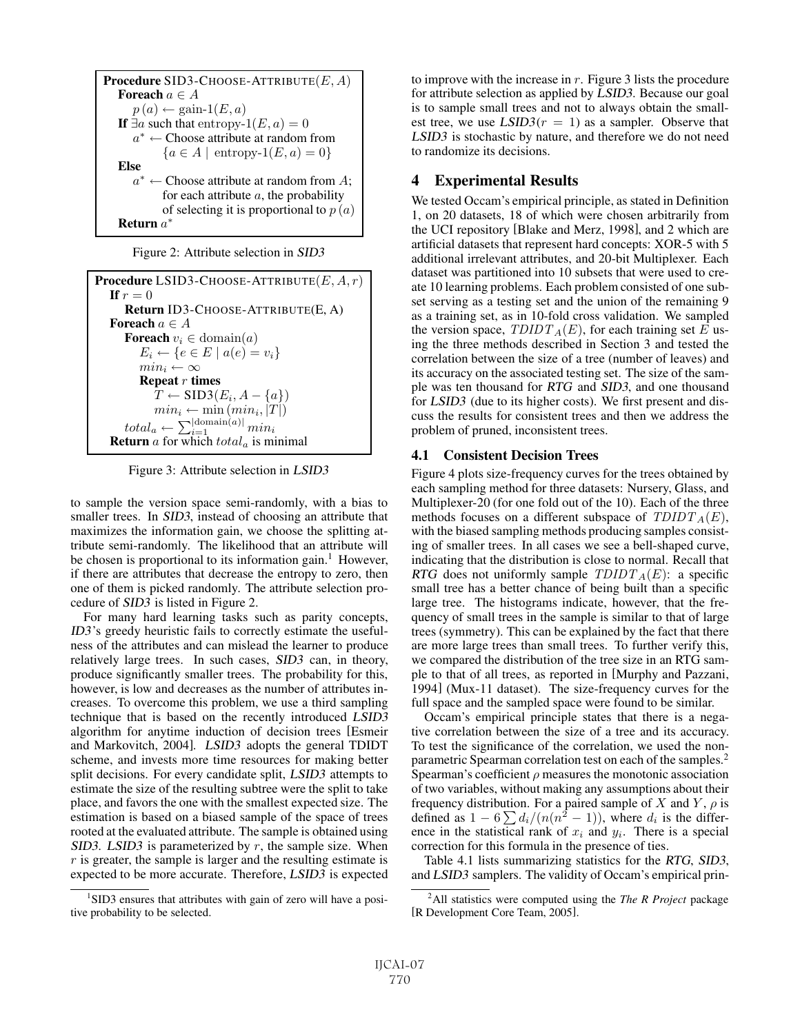```
Procedure SID3-CHOOSE-ATTRIBUTE(E, A)Foreach a \in Ap(a) \leftarrow \text{gain-1}(E,a)If \exists a such that entropy-1(E, a) = 0
   a∗ ← Choose attribute at random from
         {a \in A \mid \text{entropy-1}(E, a) = 0}Else
   a^* \leftarrow Choose attribute at random from A;
         for each attribute a, the probability
         of selecting it is proportional to p(a)Return a∗
```
Figure 2: Attribute selection in SID3

```
Procedure LSID3-CHOOSE-ATTRIBUTE(E, A, r)If r = 0Return ID3-CHOOSE-ATTRIBUTE(E, A)
Foreach a \in AForeach v_i \in \text{domain}(a)E_i \leftarrow \{e \in E \mid a(e) = v_i\}min_i \leftarrow \inftyRepeat r times
           T \leftarrow SID3(E_i, A - \{a\})
           min_i \leftarrow \min \left( min_i, |T| \right)total_a \leftarrow \sum_{i=1}^{|\mathrm{domain}(a)|}min_iReturn a for which total<sub>a</sub> is minimal
```
Figure 3: Attribute selection in LSID3

to sample the version space semi-randomly, with a bias to smaller trees. In SID3, instead of choosing an attribute that maximizes the information gain, we choose the splitting attribute semi-randomly. The likelihood that an attribute will be chosen is proportional to its information gain.<sup>1</sup> However, if there are attributes that decrease the entropy to zero, then one of them is picked randomly. The attribute selection procedure of SID3 is listed in Figure 2.

For many hard learning tasks such as parity concepts, ID3's greedy heuristic fails to correctly estimate the usefulness of the attributes and can mislead the learner to produce relatively large trees. In such cases, SID3 can, in theory, produce significantly smaller trees. The probability for this, however, is low and decreases as the number of attributes increases. To overcome this problem, we use a third sampling technique that is based on the recently introduced LSID3 algorithm for anytime induction of decision trees [Esmeir and Markovitch, 2004]. LSID3 adopts the general TDIDT scheme, and invests more time resources for making better split decisions. For every candidate split, LSID3 attempts to estimate the size of the resulting subtree were the split to take place, and favors the one with the smallest expected size. The estimation is based on a biased sample of the space of trees rooted at the evaluated attribute. The sample is obtained using SID3. LSID3 is parameterized by  $r$ , the sample size. When  $r$  is greater, the sample is larger and the resulting estimate is expected to be more accurate. Therefore, LSID3 is expected to improve with the increase in  $r$ . Figure 3 lists the procedure for attribute selection as applied by LSID3. Because our goal is to sample small trees and not to always obtain the smallest tree, we use  $LSID3(r = 1)$  as a sampler. Observe that LSID3 is stochastic by nature, and therefore we do not need to randomize its decisions.

## 4 Experimental Results

We tested Occam's empirical principle, as stated in Definition 1, on 20 datasets, 18 of which were chosen arbitrarily from the UCI repository [Blake and Merz, 1998], and 2 which are artificial datasets that represent hard concepts: XOR-5 with 5 additional irrelevant attributes, and 20-bit Multiplexer. Each dataset was partitioned into 10 subsets that were used to create 10 learning problems. Each problem consisted of one subset serving as a testing set and the union of the remaining 9 as a training set, as in 10-fold cross validation. We sampled the version space,  $TDIDT_A(E)$ , for each training set E using the three methods described in Section 3 and tested the correlation between the size of a tree (number of leaves) and its accuracy on the associated testing set. The size of the sample was ten thousand for RTG and SID3, and one thousand for LSID3 (due to its higher costs). We first present and discuss the results for consistent trees and then we address the problem of pruned, inconsistent trees.

### 4.1 Consistent Decision Trees

Figure 4 plots size-frequency curves for the trees obtained by each sampling method for three datasets: Nursery, Glass, and Multiplexer-20 (for one fold out of the 10). Each of the three methods focuses on a different subspace of  $TDIDT_A(E)$ , with the biased sampling methods producing samples consisting of smaller trees. In all cases we see a bell-shaped curve, indicating that the distribution is close to normal. Recall that RTG does not uniformly sample  $TDIDT_A(E)$ : a specific small tree has a better chance of being built than a specific large tree. The histograms indicate, however, that the frequency of small trees in the sample is similar to that of large trees (symmetry). This can be explained by the fact that there are more large trees than small trees. To further verify this, we compared the distribution of the tree size in an RTG sample to that of all trees, as reported in [Murphy and Pazzani, 1994] (Mux-11 dataset). The size-frequency curves for the full space and the sampled space were found to be similar.

Occam's empirical principle states that there is a negative correlation between the size of a tree and its accuracy. To test the significance of the correlation, we used the nonparametric Spearman correlation test on each of the samples.<sup>2</sup> Spearman's coefficient  $\rho$  measures the monotonic association of two variables, without making any assumptions about their frequency distribution. For a paired sample of X and Y,  $\rho$  is defined as  $1 - 6 \sum d_i/(n(n^2 - 1))$ , where  $d_i$  is the difference in the statistical rank of  $x_i$  and  $y_i$ . There is a special correction for this formula in the presence of ties.

Table 4.1 lists summarizing statistics for the RTG, SID3, and LSID3 samplers. The validity of Occam's empirical prin-

<sup>&</sup>lt;sup>1</sup>SID3 ensures that attributes with gain of zero will have a positive probability to be selected.

<sup>2</sup> All statistics were computed using the *The R Project* package [R Development Core Team, 2005].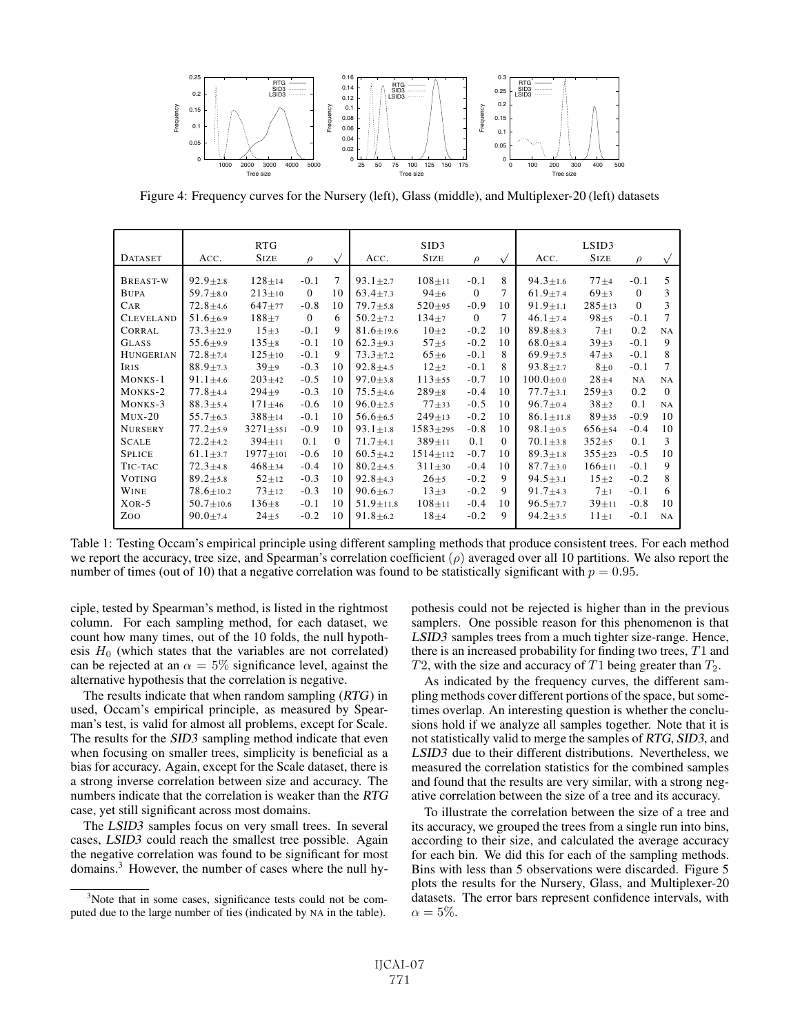

Figure 4: Frequency curves for the Nursery (left), Glass (middle), and Multiplexer-20 (left) datasets

| <b>DATASET</b>   | ACC.            | <b>RTG</b><br><b>SIZE</b> | $\rho$   | $\sqrt{}$ | SID3<br><b>SIZE</b><br>ACC.<br>$\rho$<br>$\sqrt{ }$ |                |          | LSID3<br><b>SIZE</b><br>ACC.<br>$\rho$ |                 |              |          |           |  |
|------------------|-----------------|---------------------------|----------|-----------|-----------------------------------------------------|----------------|----------|----------------------------------------|-----------------|--------------|----------|-----------|--|
|                  |                 |                           |          |           |                                                     |                |          |                                        |                 |              |          |           |  |
| BREAST-W         | $92.9 \pm 2.8$  | $128 \pm 14$              | $-0.1$   | 7         | $93.1 \pm 2.7$                                      | $108 + 11$     | $-0.1$   | 8                                      | $94.3 \pm 1.6$  | $77 + 4$     | $-0.1$   | 5         |  |
| <b>BUPA</b>      | $59.7 + 8.0$    | $213+10$                  | $\Omega$ | 10        | $63.4 + 7.3$                                        | $94\pm 6$      | $\Omega$ | 7                                      | $61.9 + 7.4$    | $69\pm3$     | $\Omega$ | 3         |  |
| <b>CAR</b>       | $72.8 \pm 4.6$  | $647 + 77$                | $-0.8$   | 10        | $79.7 + 5.8$                                        | $520 + 95$     | $-0.9$   | 10                                     | $91.9 \pm 1.1$  | $285 \pm 13$ | $\Omega$ | 3         |  |
| <b>CLEVELAND</b> | $51.6 \pm 6.9$  | $188 + 7$                 | $\Omega$ | 6         | $50.2 + 7.2$                                        | $134+7$        | $\Omega$ | 7                                      | $46.1 \pm 7.4$  | $98 + 5$     | $-0.1$   | 7         |  |
| <b>CORRAL</b>    | $73.3 + 22.9$   | $15\pm3$                  | $-0.1$   | 9         | $81.6 \pm 19.6$                                     | $10\pm2$       | $-0.2$   | 10                                     | $89.8 \pm 8.3$  | $7\pm1$      | 0.2      | <b>NA</b> |  |
| <b>GLASS</b>     | $55.6 + 9.9$    | $135 + 8$                 | $-0.1$   | 10        | $62.3 + 9.3$                                        | $57 + 5$       | $-0.2$   | 10                                     | $68.0 + 8.4$    | $39 + 3$     | $-0.1$   | 9         |  |
| <b>HUNGERIAN</b> | $72.8 + 7.4$    | $125 \pm 10$              | $-0.1$   | 9         | $73.3 \pm 7.2$                                      | $65\pm6$       | $-0.1$   | 8                                      | $69.9 + 7.5$    | $47 + 3$     | $-0.1$   | 8         |  |
| <b>IRIS</b>      | $88.9 \pm 7.3$  | $39\pm9$                  | $-0.3$   | 10        | $92.8 \pm 4.5$                                      | $12\pm2$       | $-0.1$   | 8                                      | $93.8 \pm 2.7$  | $8\pm0$      | $-0.1$   | 7         |  |
| MONKS-1          | $91.1 + 4.6$    | $203+42$                  | $-0.5$   | 10        | $97.0 + 3.8$                                        | $113 + 55$     | $-0.7$   | 10                                     | $100.0 \pm 0.0$ | $28 + 4$     | NA       | <b>NA</b> |  |
| MONKS-2          | $77.8 + 4.4$    | $294 + 9$                 | $-0.3$   | 10        | $75.5 + 4.6$                                        | $289 + 8$      | $-0.4$   | 10                                     | $77.7 \pm 3.1$  | $259+3$      | 0.2      | $\Omega$  |  |
| MONKS-3          | $88.3 + 5.4$    | $171 \pm 46$              | $-0.6$   | 10        | $96.0 \pm 2.5$                                      | $77 + 33$      | $-0.5$   | 10                                     | $96.7 \pm 0.4$  | $38+2$       | 0.1      | NA        |  |
| $MUX-20$         | $55.7 \pm 6.3$  | $388 + 14$                | $-0.1$   | 10        | $56.6 + 6.5$                                        | $249 \pm 13$   | $-0.2$   | 10                                     | $86.1 \pm 11.8$ | $89 + 35$    | $-0.9$   | 10        |  |
| <b>NURSERY</b>   | $77.2 + 5.9$    | $3271 \pm 551$            | $-0.9$   | 10        | $93.1 \pm 1.8$                                      | $1583 + 295$   | $-0.8$   | 10                                     | $98.1 \pm 0.5$  | $656 \pm 54$ | $-0.4$   | 10        |  |
| <b>SCALE</b>     | $72.2 + 4.2$    | $394 \pm 11$              | 0.1      | $\Omega$  | $71.7 + 4.1$                                        | $389 \pm 11$   | 0.1      | $\Omega$                               | $70.1 \pm 3.8$  | $352 + 5$    | 0.1      | 3         |  |
| <b>SPLICE</b>    | $61.1 \pm 3.7$  | $1977 \pm 101$            | $-0.6$   | 10        | $60.5 + 4.2$                                        | $1514 \pm 112$ | $-0.7$   | 10                                     | $89.3 \pm 1.8$  | $355+23$     | $-0.5$   | 10        |  |
| TIC-TAC          | $72.3 \pm 4.8$  | $468 + 34$                | $-0.4$   | 10        | $80.2 + 4.5$                                        | $311 \pm 30$   | $-0.4$   | 10                                     | $87.7 \pm 3.0$  | $166 \pm 11$ | $-0.1$   | 9         |  |
| <b>VOTING</b>    | $89.2 + 5.8$    | $52 + 12$                 | $-0.3$   | 10        | $92.8 + 4.3$                                        | $26 + 5$       | $-0.2$   | 9                                      | $94.5 \pm 3.1$  | $15+2$       | $-0.2$   | 8         |  |
| <b>WINE</b>      | $78.6 \pm 10.2$ | $73 + 12$                 | $-0.3$   | 10        | $90.6 \pm 6.7$                                      | $13\pm3$       | $-0.2$   | 9                                      | $91.7 \pm 4.3$  | $7\pm1$      | $-0.1$   | 6         |  |
| $XOR-5$          | $50.7 \pm 10.6$ | $136 \pm 8$               | $-0.1$   | 10        | $51.9 \pm 11.8$                                     | $108 + 11$     | $-0.4$   | 10                                     | $96.5 \pm 7.7$  | $39 + 11$    | $-0.8$   | 10        |  |
| Zoo              | $90.0 + 7.4$    | $24 + 5$                  | $-0.2$   | 10        | $91.8 + 6.2$                                        | $18\pm4$       | $-0.2$   | 9                                      | $94.2 \pm 3.5$  | $11 \pm 1$   | $-0.1$   | NA        |  |
|                  |                 |                           |          |           |                                                     |                |          |                                        |                 |              |          |           |  |

Table 1: Testing Occam's empirical principle using different sampling methods that produce consistent trees. For each method we report the accuracy, tree size, and Spearman's correlation coefficient  $(\rho)$  averaged over all 10 partitions. We also report the number of times (out of 10) that a negative correlation was found to be statistically significant with  $p = 0.95$ .

ciple, tested by Spearman's method, is listed in the rightmost column. For each sampling method, for each dataset, we count how many times, out of the 10 folds, the null hypothesis  $H_0$  (which states that the variables are not correlated) can be rejected at an  $\alpha = 5\%$  significance level, against the alternative hypothesis that the correlation is negative.

The results indicate that when random sampling (RTG) in used, Occam's empirical principle, as measured by Spearman's test, is valid for almost all problems, except for Scale. The results for the SID3 sampling method indicate that even when focusing on smaller trees, simplicity is beneficial as a bias for accuracy. Again, except for the Scale dataset, there is a strong inverse correlation between size and accuracy. The numbers indicate that the correlation is weaker than the RTG case, yet still significant across most domains.

The LSID3 samples focus on very small trees. In several cases, LSID3 could reach the smallest tree possible. Again the negative correlation was found to be significant for most domains.<sup>3</sup> However, the number of cases where the null hypothesis could not be rejected is higher than in the previous samplers. One possible reason for this phenomenon is that LSID3 samples trees from a much tighter size-range. Hence, there is an increased probability for finding two trees,  $T1$  and T2, with the size and accuracy of T1 being greater than  $T_2$ .

As indicated by the frequency curves, the different sampling methods cover different portions of the space, but sometimes overlap. An interesting question is whether the conclusions hold if we analyze all samples together. Note that it is not statistically valid to merge the samples of RTG, SID3, and LSID3 due to their different distributions. Nevertheless, we measured the correlation statistics for the combined samples and found that the results are very similar, with a strong negative correlation between the size of a tree and its accuracy.

To illustrate the correlation between the size of a tree and its accuracy, we grouped the trees from a single run into bins, according to their size, and calculated the average accuracy for each bin. We did this for each of the sampling methods. Bins with less than 5 observations were discarded. Figure 5 plots the results for the Nursery, Glass, and Multiplexer-20 datasets. The error bars represent confidence intervals, with  $\alpha = 5\%.$ 

<sup>&</sup>lt;sup>3</sup>Note that in some cases, significance tests could not be computed due to the large number of ties (indicated by NA in the table).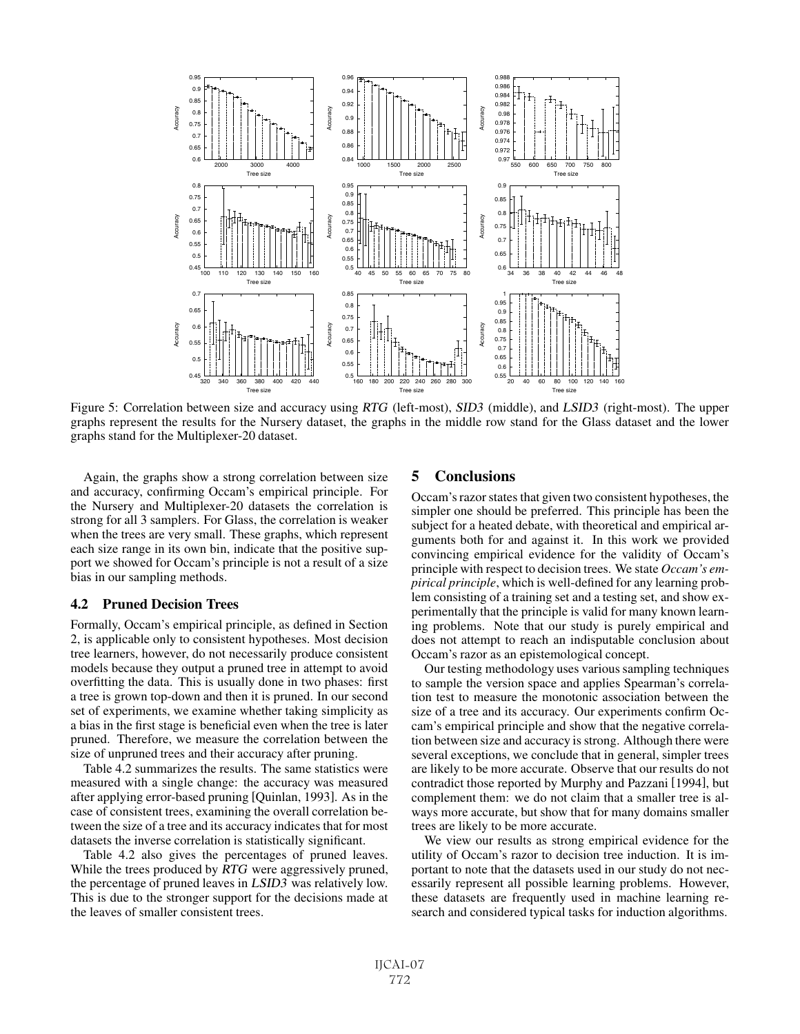

Figure 5: Correlation between size and accuracy using RTG (left-most), SID3 (middle), and LSID3 (right-most). The upper graphs represent the results for the Nursery dataset, the graphs in the middle row stand for the Glass dataset and the lower graphs stand for the Multiplexer-20 dataset.

Again, the graphs show a strong correlation between size and accuracy, confirming Occam's empirical principle. For the Nursery and Multiplexer-20 datasets the correlation is strong for all 3 samplers. For Glass, the correlation is weaker when the trees are very small. These graphs, which represent each size range in its own bin, indicate that the positive support we showed for Occam's principle is not a result of a size bias in our sampling methods.

### 4.2 Pruned Decision Trees

Formally, Occam's empirical principle, as defined in Section 2, is applicable only to consistent hypotheses. Most decision tree learners, however, do not necessarily produce consistent models because they output a pruned tree in attempt to avoid overfitting the data. This is usually done in two phases: first a tree is grown top-down and then it is pruned. In our second set of experiments, we examine whether taking simplicity as a bias in the first stage is beneficial even when the tree is later pruned. Therefore, we measure the correlation between the size of unpruned trees and their accuracy after pruning.

Table 4.2 summarizes the results. The same statistics were measured with a single change: the accuracy was measured after applying error-based pruning [Quinlan, 1993]. As in the case of consistent trees, examining the overall correlation between the size of a tree and its accuracy indicates that for most datasets the inverse correlation is statistically significant.

Table 4.2 also gives the percentages of pruned leaves. While the trees produced by RTG were aggressively pruned, the percentage of pruned leaves in LSID3 was relatively low. This is due to the stronger support for the decisions made at the leaves of smaller consistent trees.

### 5 Conclusions

Occam's razor states that given two consistent hypotheses, the simpler one should be preferred. This principle has been the subject for a heated debate, with theoretical and empirical arguments both for and against it. In this work we provided convincing empirical evidence for the validity of Occam's principle with respect to decision trees. We state *Occam's empirical principle*, which is well-defined for any learning problem consisting of a training set and a testing set, and show experimentally that the principle is valid for many known learning problems. Note that our study is purely empirical and does not attempt to reach an indisputable conclusion about Occam's razor as an epistemological concept.

Our testing methodology uses various sampling techniques to sample the version space and applies Spearman's correlation test to measure the monotonic association between the size of a tree and its accuracy. Our experiments confirm Occam's empirical principle and show that the negative correlation between size and accuracy is strong. Although there were several exceptions, we conclude that in general, simpler trees are likely to be more accurate. Observe that our results do not contradict those reported by Murphy and Pazzani [1994], but complement them: we do not claim that a smaller tree is always more accurate, but show that for many domains smaller trees are likely to be more accurate.

We view our results as strong empirical evidence for the utility of Occam's razor to decision tree induction. It is important to note that the datasets used in our study do not necessarily represent all possible learning problems. However, these datasets are frequently used in machine learning research and considered typical tasks for induction algorithms.